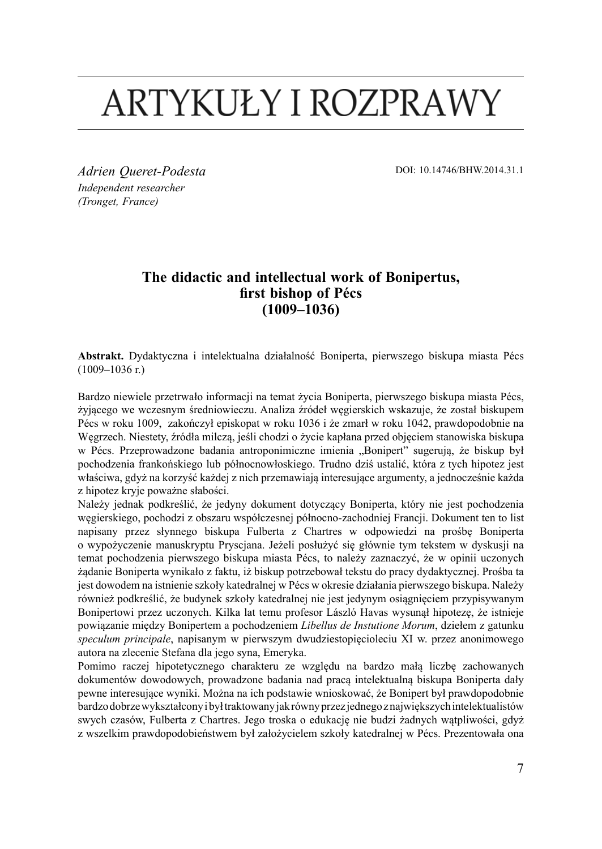# ARTYKUŁY I ROZPRAWY

*Adrien Queret-Podesta Independent researcher (Tronget, France)*

DOI: 10.14746/BHW.2014.31.1

# **The didactic and intellectual work of Bonipertus, first bishop of Pécs (1009–1036)**

**Abstrakt.** Dydaktyczna i intelektualna działalność Boniperta, pierwszego biskupa miasta Pécs (1009–1036 r.)

Bardzo niewiele przetrwało informacji na temat życia Boniperta, pierwszego biskupa miasta Pécs, żyjącego we wczesnym średniowieczu. Analiza źródeł węgierskich wskazuje, że został biskupem Pécs w roku 1009, zakończył episkopat w roku 1036 i że zmarł w roku 1042, prawdopodobnie na Węgrzech. Niestety, źródła milczą, jeśli chodzi o życie kapłana przed objęciem stanowiska biskupa w Pécs. Przeprowadzone badania antroponimiczne imienia "Bonipert" sugerują, że biskup był pochodzenia frankońskiego lub północnowłoskiego. Trudno dziś ustalić, która z tych hipotez jest właściwa, gdyż na korzyść każdej z nich przemawiają interesujące argumenty, a jednocześnie każda z hipotez kryje poważne słabości.

Należy jednak podkreślić, że jedyny dokument dotyczący Boniperta, który nie jest pochodzenia węgierskiego, pochodzi z obszaru współczesnej północno-zachodniej Francji. Dokument ten to list napisany przez słynnego biskupa Fulberta z Chartres w odpowiedzi na prośbę Boniperta o wypożyczenie manuskryptu Pryscjana. Jeżeli posłużyć się głównie tym tekstem w dyskusji na temat pochodzenia pierwszego biskupa miasta Pécs, to należy zaznaczyć, że w opinii uczonych żądanie Boniperta wynikało z faktu, iż biskup potrzebował tekstu do pracy dydaktycznej. Prośba ta jest dowodem na istnienie szkoły katedralnej w Pécs w okresie działania pierwszego biskupa. Należy również podkreślić, że budynek szkoły katedralnej nie jest jedynym osiągnięciem przypisywanym Bonipertowi przez uczonych. Kilka lat temu profesor László Havas wysunął hipotezę, że istnieje powiązanie między Bonipertem a pochodzeniem *Libellus de Instutione Morum*, dziełem z gatunku *speculum principale*, napisanym w pierwszym dwudziestopięcioleciu XI w. przez anonimowego autora na zlecenie Stefana dla jego syna, Emeryka.

Pomimo raczej hipotetycznego charakteru ze względu na bardzo małą liczbę zachowanych dokumentów dowodowych, prowadzone badania nad pracą intelektualną biskupa Boniperta dały pewne interesujące wyniki. Można na ich podstawie wnioskować, że Bonipert był prawdopodobnie bardzo dobrze wykształcony i był traktowany jak równy przez jednego z największych intelektualistów swych czasów, Fulberta z Chartres. Jego troska o edukację nie budzi żadnych wątpliwości, gdyż z wszelkim prawdopodobieństwem był założycielem szkoły katedralnej w Pécs. Prezentowała ona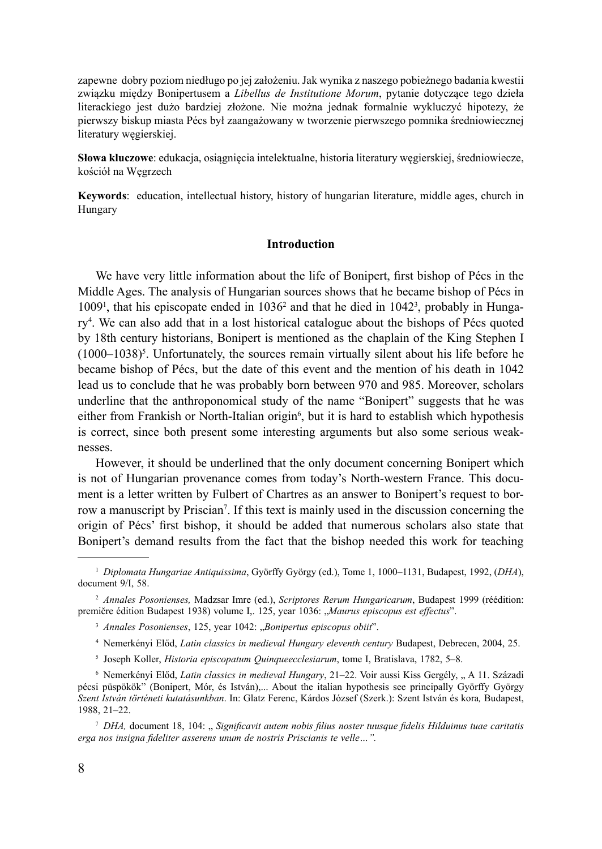zapewne dobry poziom niedługo po jej założeniu. Jak wynika z naszego pobieżnego badania kwestii związku między Bonipertusem a *Libellus de Institutione Morum*, pytanie dotyczące tego dzieła literackiego jest dużo bardziej złożone. Nie można jednak formalnie wykluczyć hipotezy, że pierwszy biskup miasta Pécs był zaangażowany w tworzenie pierwszego pomnika średniowiecznej literatury węgierskiej.

**Słowa kluczowe**: edukacja, osiągnięcia intelektualne, historia literatury węgierskiej, średniowiecze, kościół na Węgrzech

**Keywords**: education, intellectual history, history of hungarian literature, middle ages, church in Hungary

## **Introduction**

We have very little information about the life of Bonipert, first bishop of Pécs in the Middle Ages. The analysis of Hungarian sources shows that he became bishop of Pécs in  $1009<sup>1</sup>$ , that his episcopate ended in  $1036<sup>2</sup>$  and that he died in  $1042<sup>3</sup>$ , probably in Hungary<sup>4</sup> . We can also add that in a lost historical catalogue about the bishops of Pécs quoted by 18th century historians, Bonipert is mentioned as the chaplain of the King Stephen I  $(1000-1038)^5$ . Unfortunately, the sources remain virtually silent about his life before he became bishop of Pécs, but the date of this event and the mention of his death in 1042 lead us to conclude that he was probably born between 970 and 985. Moreover, scholars underline that the anthroponomical study of the name "Bonipert" suggests that he was either from Frankish or North-Italian origin<sup>6</sup>, but it is hard to establish which hypothesis is correct, since both present some interesting arguments but also some serious weaknesses.

However, it should be underlined that the only document concerning Bonipert which is not of Hungarian provenance comes from today's North-western France. This document is a letter written by Fulbert of Chartres as an answer to Bonipert's request to borrow a manuscript by Priscian<sup>7</sup>. If this text is mainly used in the discussion concerning the origin of Pécs' first bishop, it should be added that numerous scholars also state that Bonipert's demand results from the fact that the bishop needed this work for teaching

- <sup>4</sup> Nemerkényi Előd, *Latin classics in medieval Hungary eleventh century* Budapest, Debrecen, 2004, 25.
- <sup>5</sup> Joseph Koller, *Historia episcopatum Quinqueecclesiarum*, tome I, Bratislava, 1782, 5–8.

<sup>1</sup> *Diplomata Hungariae Antiquissima*, Györffy György (ed.), Tome 1, 1000–1131, Budapest, 1992, (*DHA*), document 9/I, 58.

<sup>2</sup> *Annales Posonienses,* Madzsar Imre (ed.), *Scriptores Rerum Hungaricarum*, Budapest 1999 (réédition: premičre édition Budapest 1938) volume I,. 125, year 1036: "Maurus episcopus est effectus".

<sup>&</sup>lt;sup>3</sup> Annales Posonienses, 125, year 1042: "Bonipertus episcopus obiit".

<sup>6</sup> Nemerkényi Előd, *Latin classics in medieval Hungary*, 21–22. Voir aussi Kiss Gergély, " A 11. Századi pécsi püspökök" (Bonipert, Mór, és István),... About the italian hypothesis see principally Györffy György *Szent István történeti kutatásunkban*. In: Glatz Ferenc, Kárdos József (Szerk.): Szent István és kora*,* Budapest, 1988, 21–22.

<sup>&</sup>lt;sup>7</sup> *DHA*, document 18, 104: "Significavit autem nobis filius noster tuusque fidelis Hilduinus tuae caritatis *erga nos insigna fideliter asserens unum de nostris Priscianis te velle…".*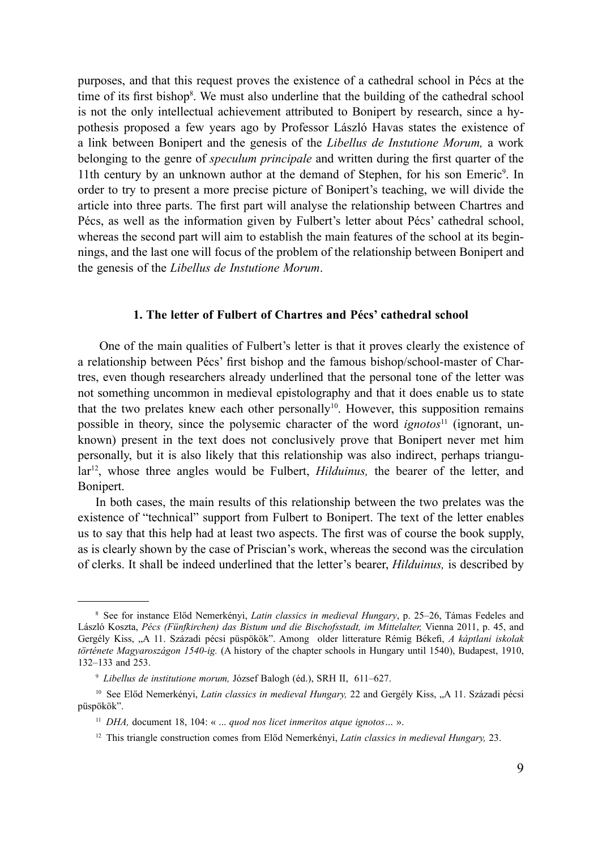purposes, and that this request proves the existence of a cathedral school in Pécs at the time of its first bishop<sup>8</sup>. We must also underline that the building of the cathedral school is not the only intellectual achievement attributed to Bonipert by research, since a hypothesis proposed a few years ago by Professor László Havas states the existence of a link between Bonipert and the genesis of the *Libellus de Instutione Morum,* a work belonging to the genre of *speculum principale* and written during the first quarter of the 11th century by an unknown author at the demand of Stephen, for his son Emeric<sup>9</sup>. In order to try to present a more precise picture of Bonipert's teaching, we will divide the article into three parts. The first part will analyse the relationship between Chartres and Pécs, as well as the information given by Fulbert's letter about Pécs' cathedral school, whereas the second part will aim to establish the main features of the school at its beginnings, and the last one will focus of the problem of the relationship between Bonipert and the genesis of the *Libellus de Instutione Morum*.

#### **1. The letter of Fulbert of Chartres and Pécs' cathedral school**

 One of the main qualities of Fulbert's letter is that it proves clearly the existence of a relationship between Pécs' first bishop and the famous bishop/school-master of Chartres, even though researchers already underlined that the personal tone of the letter was not something uncommon in medieval epistolography and that it does enable us to state that the two prelates knew each other personally<sup>10</sup>. However, this supposition remains possible in theory, since the polysemic character of the word *ignotos*11 (ignorant, unknown) present in the text does not conclusively prove that Bonipert never met him personally, but it is also likely that this relationship was also indirect, perhaps triangular<sup>12</sup>, whose three angles would be Fulbert, *Hilduinus*, the bearer of the letter, and Bonipert.

In both cases, the main results of this relationship between the two prelates was the existence of "technical" support from Fulbert to Bonipert. The text of the letter enables us to say that this help had at least two aspects. The first was of course the book supply, as is clearly shown by the case of Priscian's work, whereas the second was the circulation of clerks. It shall be indeed underlined that the letter's bearer, *Hilduinus,* is described by

<sup>8</sup> See for instance Előd Nemerkényi, *Latin classics in medieval Hungary*, p. 25–26, Támas Fedeles and László Koszta, *Pécs (Fünfkirchen) das Bistum und die Bischofsstadt, im Mittelalter,* Vienna 2011, p. 45, and Gergély Kiss, "A 11. Századi pécsi püspökök". Among older litterature Rémig Békefi, *A káptlani iskolak története Magyaroszágon 1540-ig.* (A history of the chapter schools in Hungary until 1540), Budapest, 1910, 132–133 and 253.

<sup>9</sup> *Libellus de institutione morum,* József Balogh (éd.), SRH II, 611–627.

<sup>10</sup> See Előd Nemerkényi, *Latin classics in medieval Hungary,* 22 and Gergély Kiss, "A 11. Századi pécsi püspökök".

<sup>11</sup> *DHA,* document 18, 104: « ... *quod nos licet inmeritos atque ignotos…* ».

<sup>12</sup> This triangle construction comes from Előd Nemerkényi, *Latin classics in medieval Hungary,* 23.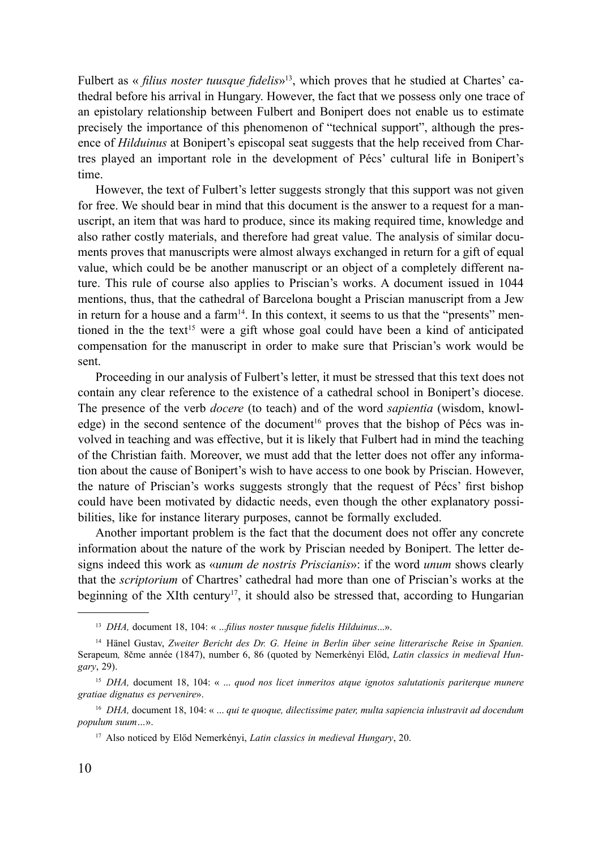Fulbert as « *filius noster tuusque fidelis*»<sup>13</sup>, which proves that he studied at Chartes' cathedral before his arrival in Hungary. However, the fact that we possess only one trace of an epistolary relationship between Fulbert and Bonipert does not enable us to estimate precisely the importance of this phenomenon of "technical support", although the presence of *Hilduinus* at Bonipert's episcopal seat suggests that the help received from Chartres played an important role in the development of Pécs' cultural life in Bonipert's time.

However, the text of Fulbert's letter suggests strongly that this support was not given for free. We should bear in mind that this document is the answer to a request for a manuscript, an item that was hard to produce, since its making required time, knowledge and also rather costly materials, and therefore had great value. The analysis of similar documents proves that manuscripts were almost always exchanged in return for a gift of equal value, which could be be another manuscript or an object of a completely different nature. This rule of course also applies to Priscian's works. A document issued in 1044 mentions, thus, that the cathedral of Barcelona bought a Priscian manuscript from a Jew in return for a house and a farm<sup>14</sup>. In this context, it seems to us that the "presents" mentioned in the the text<sup>15</sup> were a gift whose goal could have been a kind of anticipated compensation for the manuscript in order to make sure that Priscian's work would be sent.

Proceeding in our analysis of Fulbert's letter, it must be stressed that this text does not contain any clear reference to the existence of a cathedral school in Bonipert's diocese. The presence of the verb *docere* (to teach) and of the word *sapientia* (wisdom, knowledge) in the second sentence of the document<sup>16</sup> proves that the bishop of Pécs was involved in teaching and was effective, but it is likely that Fulbert had in mind the teaching of the Christian faith. Moreover, we must add that the letter does not offer any information about the cause of Bonipert's wish to have access to one book by Priscian. However, the nature of Priscian's works suggests strongly that the request of Pécs' first bishop could have been motivated by didactic needs, even though the other explanatory possibilities, like for instance literary purposes, cannot be formally excluded.

Another important problem is the fact that the document does not offer any concrete information about the nature of the work by Priscian needed by Bonipert. The letter designs indeed this work as «*unum de nostris Priscianis*»: if the word *unum* shows clearly that the *scriptorium* of Chartres' cathedral had more than one of Priscian's works at the beginning of the XIth century<sup>17</sup>, it should also be stressed that, according to Hungarian

<sup>13</sup> *DHA,* document 18, 104: « ...*filius noster tuusque fidelis Hilduinus*...».

<sup>14</sup> Hänel Gustav, *Zweiter Bericht des Dr. G. Heine in Berlin über seine litterarische Reise in Spanien.* Serapeum*,* 8čme année (1847), number 6, 86 (quoted by Nemerkényi Előd, *Latin classics in medieval Hungary*, 29).

<sup>15</sup> *DHA,* document 18, 104: « ... *quod nos licet inmeritos atque ignotos salutationis pariterque munere gratiae dignatus es pervenire*».

<sup>16</sup> *DHA,* document 18, 104: « ... *qui te quoque, dilectissime pater, multa sapiencia inlustravit ad docendum populum suum…*».

<sup>17</sup> Also noticed by Előd Nemerkényi, *Latin classics in medieval Hungary*, 20.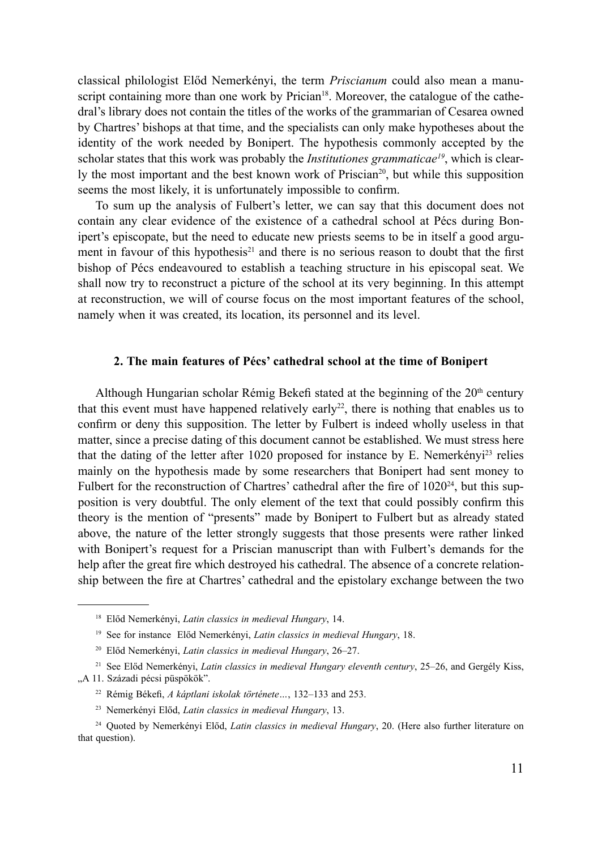classical philologist Előd Nemerkényi, the term *Priscianum* could also mean a manuscript containing more than one work by Prician<sup>18</sup>. Moreover, the catalogue of the cathedral's library does not contain the titles of the works of the grammarian of Cesarea owned by Chartres' bishops at that time, and the specialists can only make hypotheses about the identity of the work needed by Bonipert. The hypothesis commonly accepted by the scholar states that this work was probably the *Institutiones grammaticae<sup>19</sup>*, which is clearly the most important and the best known work of Priscian<sup>20</sup>, but while this supposition seems the most likely, it is unfortunately impossible to confirm.

To sum up the analysis of Fulbert's letter, we can say that this document does not contain any clear evidence of the existence of a cathedral school at Pécs during Bonipert's episcopate, but the need to educate new priests seems to be in itself a good argument in favour of this hypothesis<sup>21</sup> and there is no serious reason to doubt that the first bishop of Pécs endeavoured to establish a teaching structure in his episcopal seat. We shall now try to reconstruct a picture of the school at its very beginning. In this attempt at reconstruction, we will of course focus on the most important features of the school, namely when it was created, its location, its personnel and its level.

### **2. The main features of Pécs' cathedral school at the time of Bonipert**

Although Hungarian scholar Rémig Bekefi stated at the beginning of the 20<sup>th</sup> century that this event must have happened relatively early<sup>22</sup>, there is nothing that enables us to confirm or deny this supposition. The letter by Fulbert is indeed wholly useless in that matter, since a precise dating of this document cannot be established. We must stress here that the dating of the letter after 1020 proposed for instance by E. Nemerkény $i^{23}$  relies mainly on the hypothesis made by some researchers that Bonipert had sent money to Fulbert for the reconstruction of Chartres' cathedral after the fire of  $1020^{24}$ , but this supposition is very doubtful. The only element of the text that could possibly confirm this theory is the mention of "presents" made by Bonipert to Fulbert but as already stated above, the nature of the letter strongly suggests that those presents were rather linked with Bonipert's request for a Priscian manuscript than with Fulbert's demands for the help after the great fire which destroyed his cathedral. The absence of a concrete relationship between the fire at Chartres' cathedral and the epistolary exchange between the two

<sup>18</sup> Előd Nemerkényi, *Latin classics in medieval Hungary*, 14.

<sup>19</sup> See for instance Előd Nemerkényi, *Latin classics in medieval Hungary*, 18.

<sup>20</sup> Előd Nemerkényi, *Latin classics in medieval Hungary*, 26–27.

<sup>21</sup> See Előd Nemerkényi, *Latin classics in medieval Hungary eleventh century*, 25–26, and Gergély Kiss,

<sup>&</sup>quot;A 11. Századi pécsi püspökök".

<sup>22</sup> Rémig Békefi, *A káptlani iskolak története…*, 132–133 and 253.

<sup>23</sup> Nemerkényi Előd, *Latin classics in medieval Hungary*, 13.

<sup>24</sup> Quoted by Nemerkényi Előd, *Latin classics in medieval Hungary*, 20. (Here also further literature on that question).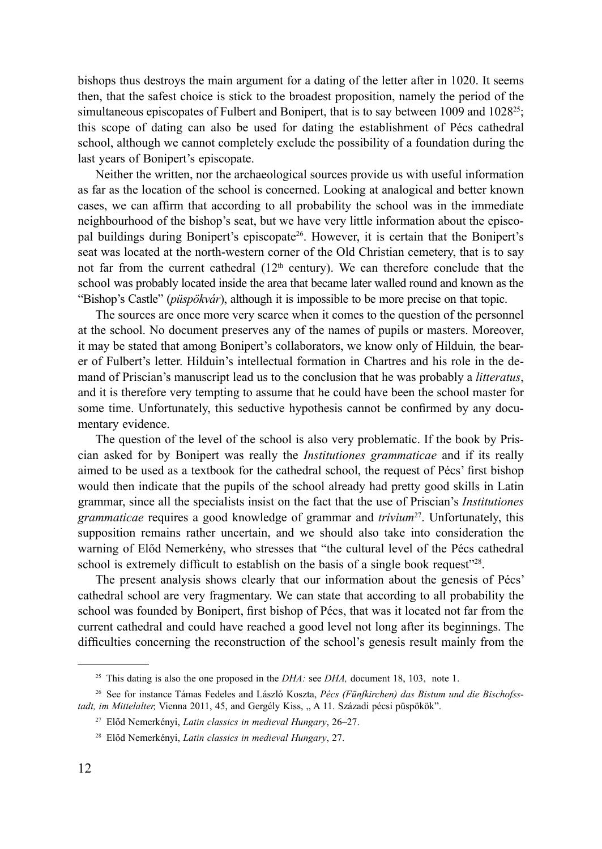bishops thus destroys the main argument for a dating of the letter after in 1020. It seems then, that the safest choice is stick to the broadest proposition, namely the period of the simultaneous episcopates of Fulbert and Bonipert, that is to say between 1009 and  $1028<sup>25</sup>$ ; this scope of dating can also be used for dating the establishment of Pécs cathedral school, although we cannot completely exclude the possibility of a foundation during the last years of Bonipert's episcopate.

Neither the written, nor the archaeological sources provide us with useful information as far as the location of the school is concerned. Looking at analogical and better known cases, we can affirm that according to all probability the school was in the immediate neighbourhood of the bishop's seat, but we have very little information about the episcopal buildings during Bonipert's episcopate<sup>26</sup>. However, it is certain that the Bonipert's seat was located at the north-western corner of the Old Christian cemetery, that is to say not far from the current cathedral  $(12<sup>th</sup>$  century). We can therefore conclude that the school was probably located inside the area that became later walled round and known as the "Bishop's Castle" (*püspökvár*), although it is impossible to be more precise on that topic.

The sources are once more very scarce when it comes to the question of the personnel at the school. No document preserves any of the names of pupils or masters. Moreover, it may be stated that among Bonipert's collaborators, we know only of Hilduin*,* the bearer of Fulbert's letter. Hilduin's intellectual formation in Chartres and his role in the demand of Priscian's manuscript lead us to the conclusion that he was probably a *litteratus*, and it is therefore very tempting to assume that he could have been the school master for some time. Unfortunately, this seductive hypothesis cannot be confirmed by any documentary evidence.

The question of the level of the school is also very problematic. If the book by Priscian asked for by Bonipert was really the *Institutiones grammaticae* and if its really aimed to be used as a textbook for the cathedral school, the request of Pécs' first bishop would then indicate that the pupils of the school already had pretty good skills in Latin grammar, since all the specialists insist on the fact that the use of Priscian's *Institutiones grammaticae* requires a good knowledge of grammar and *trivium*<sup>27</sup>. Unfortunately, this supposition remains rather uncertain, and we should also take into consideration the warning of Előd Nemerkény, who stresses that "the cultural level of the Pécs cathedral school is extremely difficult to establish on the basis of a single book request"<sup>228</sup>.

The present analysis shows clearly that our information about the genesis of Pécs' cathedral school are very fragmentary. We can state that according to all probability the school was founded by Bonipert, first bishop of Pécs, that was it located not far from the current cathedral and could have reached a good level not long after its beginnings. The difficulties concerning the reconstruction of the school's genesis result mainly from the

<sup>25</sup> This dating is also the one proposed in the *DHA:* see *DHA,* document 18, 103, note 1.

<sup>26</sup> See for instance Támas Fedeles and László Koszta, *Pécs (Fünfkirchen) das Bistum und die Bischofss*tadt, im Mittelalter, Vienna 2011, 45, and Gergély Kiss, "A 11. Századi pécsi püspökök".

<sup>27</sup> Előd Nemerkényi, *Latin classics in medieval Hungary*, 26–27.

<sup>28</sup> Előd Nemerkényi, *Latin classics in medieval Hungary*, 27.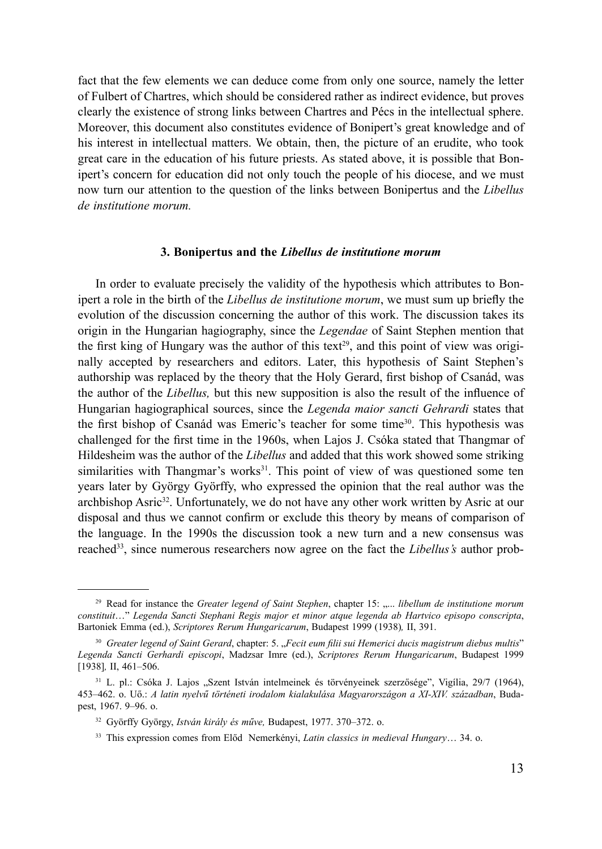fact that the few elements we can deduce come from only one source, namely the letter of Fulbert of Chartres, which should be considered rather as indirect evidence, but proves clearly the existence of strong links between Chartres and Pécs in the intellectual sphere. Moreover, this document also constitutes evidence of Bonipert's great knowledge and of his interest in intellectual matters. We obtain, then, the picture of an erudite, who took great care in the education of his future priests. As stated above, it is possible that Bonipert's concern for education did not only touch the people of his diocese, and we must now turn our attention to the question of the links between Bonipertus and the *Libellus de institutione morum.*

#### **3. Bonipertus and the** *Libellus de institutione morum*

In order to evaluate precisely the validity of the hypothesis which attributes to Bonipert a role in the birth of the *Libellus de institutione morum*, we must sum up briefly the evolution of the discussion concerning the author of this work. The discussion takes its origin in the Hungarian hagiography, since the *Legendae* of Saint Stephen mention that the first king of Hungary was the author of this text<sup>29</sup>, and this point of view was originally accepted by researchers and editors. Later, this hypothesis of Saint Stephen's authorship was replaced by the theory that the Holy Gerard, first bishop of Csanád, was the author of the *Libellus,* but this new supposition is also the result of the influence of Hungarian hagiographical sources, since the *Legenda maior sancti Gehrardi* states that the first bishop of Csanád was Emeric's teacher for some time<sup>30</sup>. This hypothesis was challenged for the first time in the 1960s, when Lajos J. Csóka stated that Thangmar of Hildesheim was the author of the *Libellus* and added that this work showed some striking similarities with Thangmar's works $3<sup>1</sup>$ . This point of view of was questioned some ten years later by György Györffy, who expressed the opinion that the real author was the archbishop Asric<sup>32</sup>. Unfortunately, we do not have any other work written by Asric at our disposal and thus we cannot confirm or exclude this theory by means of comparison of the language. In the 1990s the discussion took a new turn and a new consensus was reached33, since numerous researchers now agree on the fact the *Libellus's* author prob-

<sup>&</sup>lt;sup>29</sup> Read for instance the *Greater legend of Saint Stephen*, chapter 15: ,,... *libellum de institutione morum constituit*…" *Legenda Sancti Stephani Regis major et minor atque legenda ab Hartvico episopo conscripta*, Bartoniek Emma (ed.), *Scriptores Rerum Hungaricarum*, Budapest 1999 (1938)*,* II, 391.

<sup>&</sup>lt;sup>30</sup> Greater legend of Saint Gerard, chapter: 5. "Fecit eum filii sui Hemerici ducis magistrum diebus multis" *Legenda Sancti Gerhardi episcopi*, Madzsar Imre (ed.), *Scriptores Rerum Hungaricarum*, Budapest 1999 [1938]*,* II, 461–506.

<sup>&</sup>lt;sup>31</sup> L. pl.: Csóka J. Lajos "Szent István intelmeinek és törvényeinek szerzősége", Vigília, 29/7 (1964), 453–462. o. Uő.: *A latin nyelvű történeti irodalom kialakulása Magyarországon a XI-XIV. században*, Budapest, 1967. 9–96. o.

<sup>32</sup> Györffy György, *István király és műve,* Budapest, 1977. 370–372. o.

<sup>33</sup> This expression comes from Előd Nemerkényi, *Latin classics in medieval Hungary*… 34. o.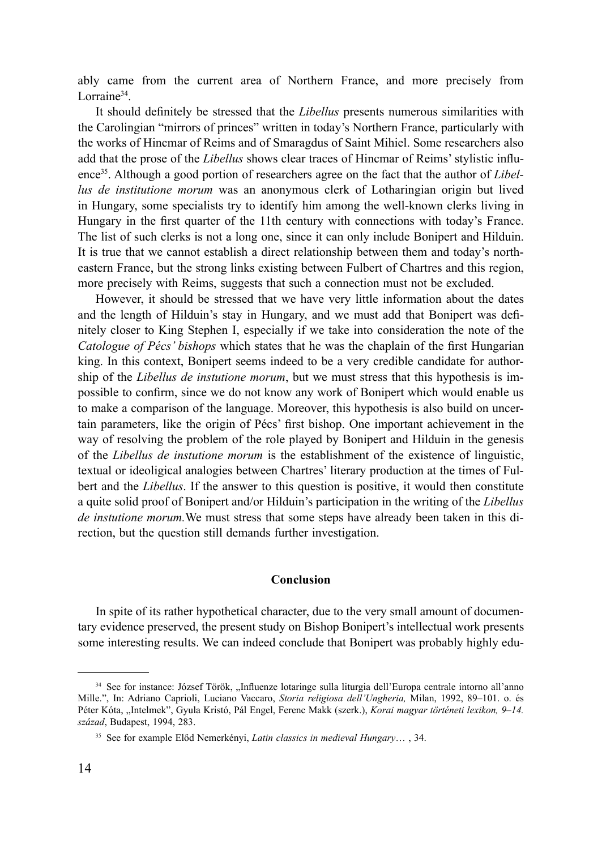ably came from the current area of Northern France, and more precisely from Lorraine<sup>34</sup>.

It should definitely be stressed that the *Libellus* presents numerous similarities with the Carolingian "mirrors of princes" written in today's Northern France, particularly with the works of Hincmar of Reims and of Smaragdus of Saint Mihiel. Some researchers also add that the prose of the *Libellus* shows clear traces of Hincmar of Reims' stylistic influence35. Although a good portion of researchers agree on the fact that the author of *Libellus de institutione morum* was an anonymous clerk of Lotharingian origin but lived in Hungary, some specialists try to identify him among the well-known clerks living in Hungary in the first quarter of the 11th century with connections with today's France. The list of such clerks is not a long one, since it can only include Bonipert and Hilduin. It is true that we cannot establish a direct relationship between them and today's northeastern France, but the strong links existing between Fulbert of Chartres and this region, more precisely with Reims, suggests that such a connection must not be excluded.

However, it should be stressed that we have very little information about the dates and the length of Hilduin's stay in Hungary, and we must add that Bonipert was definitely closer to King Stephen I, especially if we take into consideration the note of the *Catologue of Pécs' bishops* which states that he was the chaplain of the first Hungarian king. In this context, Bonipert seems indeed to be a very credible candidate for authorship of the *Libellus de instutione morum*, but we must stress that this hypothesis is impossible to confirm, since we do not know any work of Bonipert which would enable us to make a comparison of the language. Moreover, this hypothesis is also build on uncertain parameters, like the origin of Pécs' first bishop. One important achievement in the way of resolving the problem of the role played by Bonipert and Hilduin in the genesis of the *Libellus de instutione morum* is the establishment of the existence of linguistic, textual or ideoligical analogies between Chartres' literary production at the times of Fulbert and the *Libellus*. If the answer to this question is positive, it would then constitute a quite solid proof of Bonipert and/or Hilduin's participation in the writing of the *Libellus de instutione morum.*We must stress that some steps have already been taken in this direction, but the question still demands further investigation.

#### **Conclusion**

In spite of its rather hypothetical character, due to the very small amount of documentary evidence preserved, the present study on Bishop Bonipert's intellectual work presents some interesting results. We can indeed conclude that Bonipert was probably highly edu-

<sup>34</sup> See for instance: József Török, "Influenze lotaringe sulla liturgia dell'Europa centrale intorno all'anno Mille.", In: Adriano Caprioli, Luciano Vaccaro, *Storia religiosa dell'Ungheria,* Milan, 1992, 89–101. o. és Péter Kóta, "Intelmek", Gyula Kristó, Pál Engel, Ferenc Makk (szerk.), *Korai magyar történeti lexikon, 9–14. század*, Budapest, 1994, 283.

<sup>35</sup> See for example Előd Nemerkényi, *Latin classics in medieval Hungary*… , 34.